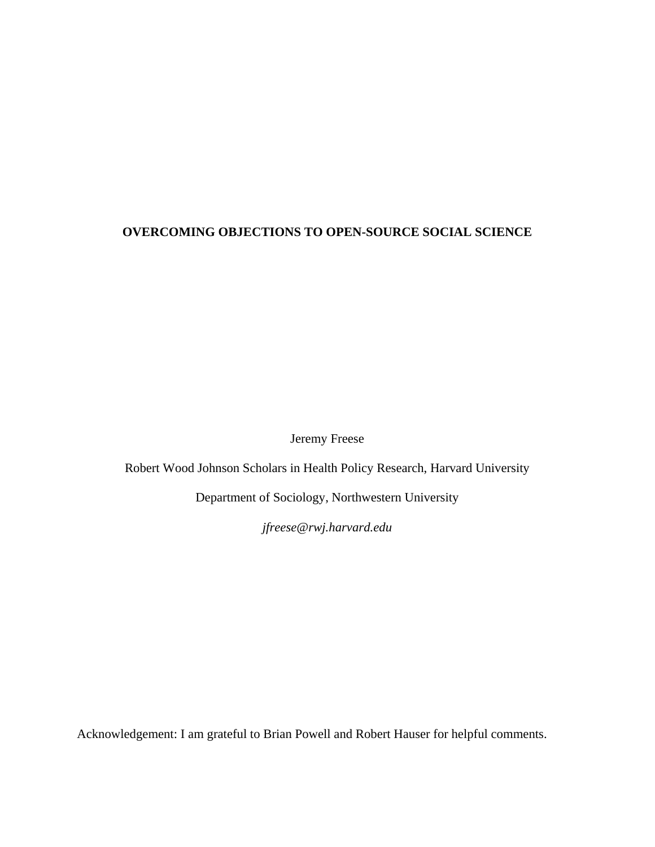## **OVERCOMING OBJECTIONS TO OPEN-SOURCE SOCIAL SCIENCE**

Jeremy Freese

Robert Wood Johnson Scholars in Health Policy Research, Harvard University

Department of Sociology, Northwestern University

*jfreese@rwj.harvard.edu* 

Acknowledgement: I am grateful to Brian Powell and Robert Hauser for helpful comments.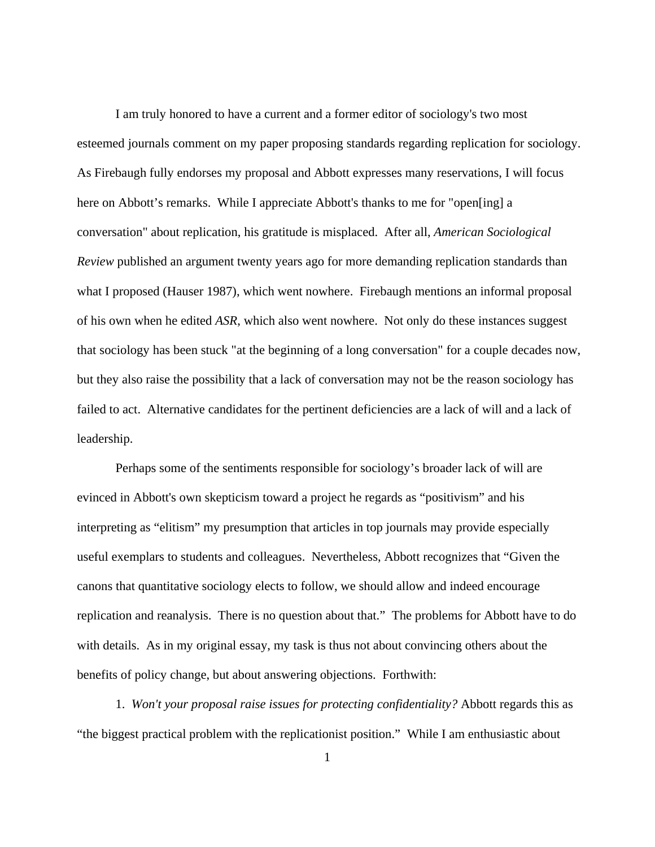I am truly honored to have a current and a former editor of sociology's two most esteemed journals comment on my paper proposing standards regarding replication for sociology. As Firebaugh fully endorses my proposal and Abbott expresses many reservations, I will focus here on Abbott's remarks. While I appreciate Abbott's thanks to me for "open[ing] a conversation" about replication, his gratitude is misplaced. After all, *American Sociological Review* published an argument twenty years ago for more demanding replication standards than what I proposed (Hauser 1987), which went nowhere. Firebaugh mentions an informal proposal of his own when he edited *ASR*, which also went nowhere. Not only do these instances suggest that sociology has been stuck "at the beginning of a long conversation" for a couple decades now, but they also raise the possibility that a lack of conversation may not be the reason sociology has failed to act. Alternative candidates for the pertinent deficiencies are a lack of will and a lack of leadership.

Perhaps some of the sentiments responsible for sociology's broader lack of will are evinced in Abbott's own skepticism toward a project he regards as "positivism" and his interpreting as "elitism" my presumption that articles in top journals may provide especially useful exemplars to students and colleagues. Nevertheless, Abbott recognizes that "Given the canons that quantitative sociology elects to follow, we should allow and indeed encourage replication and reanalysis. There is no question about that." The problems for Abbott have to do with details. As in my original essay, my task is thus not about convincing others about the benefits of policy change, but about answering objections. Forthwith:

1. *Won't your proposal raise issues for protecting confidentiality?* Abbott regards this as "the biggest practical problem with the replicationist position." While I am enthusiastic about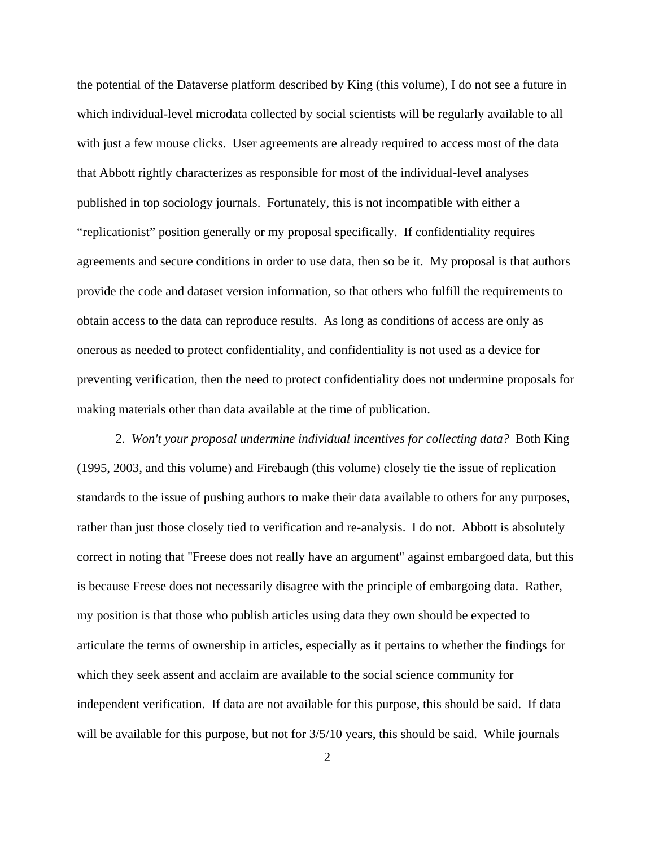the potential of the Dataverse platform described by King (this volume), I do not see a future in which individual-level microdata collected by social scientists will be regularly available to all with just a few mouse clicks. User agreements are already required to access most of the data that Abbott rightly characterizes as responsible for most of the individual-level analyses published in top sociology journals. Fortunately, this is not incompatible with either a "replicationist" position generally or my proposal specifically. If confidentiality requires agreements and secure conditions in order to use data, then so be it. My proposal is that authors provide the code and dataset version information, so that others who fulfill the requirements to obtain access to the data can reproduce results. As long as conditions of access are only as onerous as needed to protect confidentiality, and confidentiality is not used as a device for preventing verification, then the need to protect confidentiality does not undermine proposals for making materials other than data available at the time of publication.

2. *Won't your proposal undermine individual incentives for collecting data?* Both King (1995, 2003, and this volume) and Firebaugh (this volume) closely tie the issue of replication standards to the issue of pushing authors to make their data available to others for any purposes, rather than just those closely tied to verification and re-analysis. I do not. Abbott is absolutely correct in noting that "Freese does not really have an argument" against embargoed data, but this is because Freese does not necessarily disagree with the principle of embargoing data. Rather, my position is that those who publish articles using data they own should be expected to articulate the terms of ownership in articles, especially as it pertains to whether the findings for which they seek assent and acclaim are available to the social science community for independent verification. If data are not available for this purpose, this should be said. If data will be available for this purpose, but not for  $3/5/10$  years, this should be said. While journals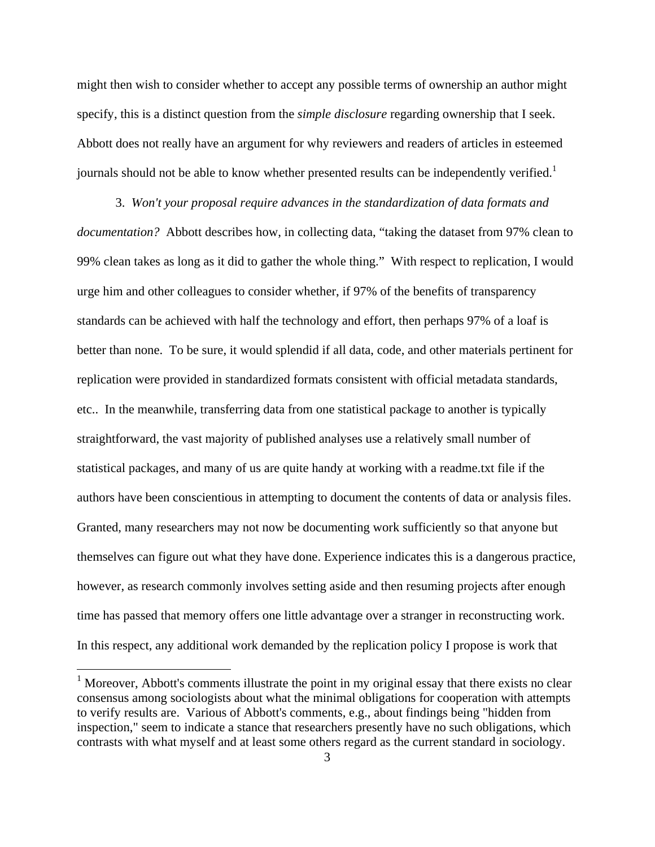might then wish to consider whether to accept any possible terms of ownership an author might specify, this is a distinct question from the *simple disclosure* regarding ownership that I seek. Abbott does not really have an argument for why reviewers and readers of articles in esteemed journals should not be able to know whether presented results can be independently verified.<sup>1</sup>

3. *Won't your proposal require advances in the standardization of data formats and documentation?* Abbott describes how, in collecting data, "taking the dataset from 97% clean to 99% clean takes as long as it did to gather the whole thing." With respect to replication, I would urge him and other colleagues to consider whether, if 97% of the benefits of transparency standards can be achieved with half the technology and effort, then perhaps 97% of a loaf is better than none. To be sure, it would splendid if all data, code, and other materials pertinent for replication were provided in standardized formats consistent with official metadata standards, etc.. In the meanwhile, transferring data from one statistical package to another is typically straightforward, the vast majority of published analyses use a relatively small number of statistical packages, and many of us are quite handy at working with a readme.txt file if the authors have been conscientious in attempting to document the contents of data or analysis files. Granted, many researchers may not now be documenting work sufficiently so that anyone but themselves can figure out what they have done. Experience indicates this is a dangerous practice, however, as research commonly involves setting aside and then resuming projects after enough time has passed that memory offers one little advantage over a stranger in reconstructing work. In this respect, any additional work demanded by the replication policy I propose is work that

 $\overline{a}$ 

 $1$  Moreover, Abbott's comments illustrate the point in my original essay that there exists no clear consensus among sociologists about what the minimal obligations for cooperation with attempts to verify results are. Various of Abbott's comments, e.g., about findings being "hidden from inspection," seem to indicate a stance that researchers presently have no such obligations, which contrasts with what myself and at least some others regard as the current standard in sociology.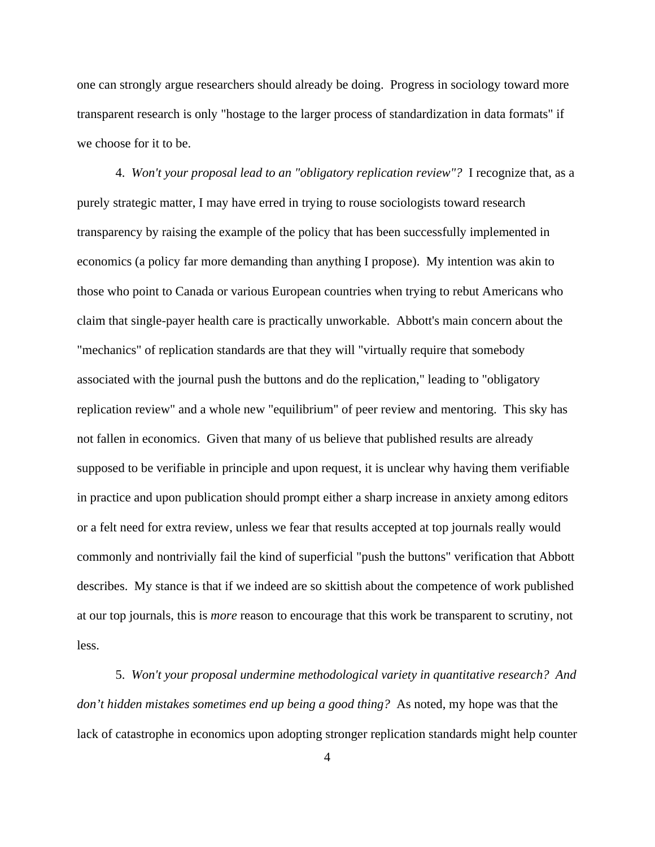one can strongly argue researchers should already be doing. Progress in sociology toward more transparent research is only "hostage to the larger process of standardization in data formats" if we choose for it to be.

4. *Won't your proposal lead to an "obligatory replication review"?* I recognize that, as a purely strategic matter, I may have erred in trying to rouse sociologists toward research transparency by raising the example of the policy that has been successfully implemented in economics (a policy far more demanding than anything I propose). My intention was akin to those who point to Canada or various European countries when trying to rebut Americans who claim that single-payer health care is practically unworkable. Abbott's main concern about the "mechanics" of replication standards are that they will "virtually require that somebody associated with the journal push the buttons and do the replication," leading to "obligatory replication review" and a whole new "equilibrium" of peer review and mentoring. This sky has not fallen in economics. Given that many of us believe that published results are already supposed to be verifiable in principle and upon request, it is unclear why having them verifiable in practice and upon publication should prompt either a sharp increase in anxiety among editors or a felt need for extra review, unless we fear that results accepted at top journals really would commonly and nontrivially fail the kind of superficial "push the buttons" verification that Abbott describes. My stance is that if we indeed are so skittish about the competence of work published at our top journals, this is *more* reason to encourage that this work be transparent to scrutiny, not less.

5. *Won't your proposal undermine methodological variety in quantitative research? And don't hidden mistakes sometimes end up being a good thing?* As noted, my hope was that the lack of catastrophe in economics upon adopting stronger replication standards might help counter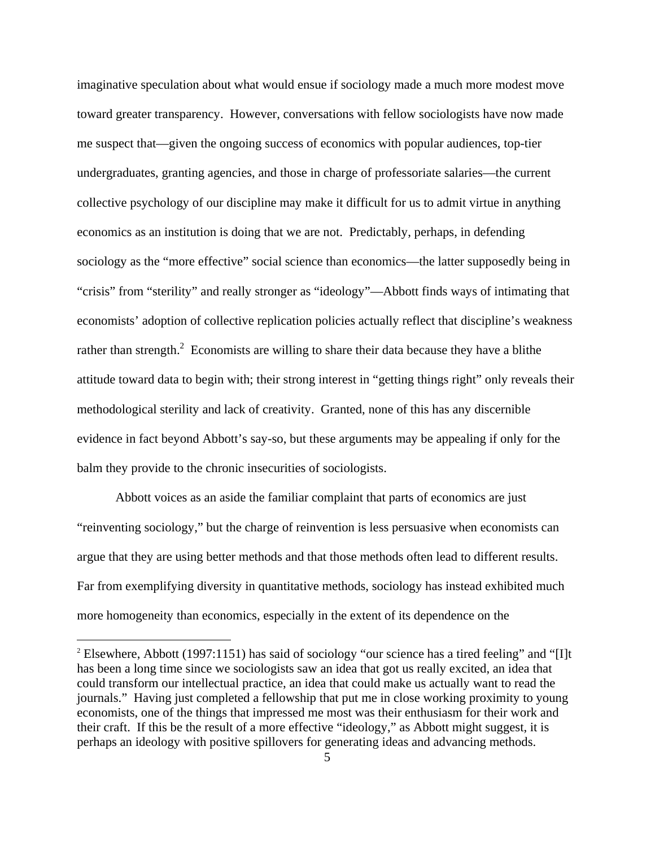imaginative speculation about what would ensue if sociology made a much more modest move toward greater transparency. However, conversations with fellow sociologists have now made me suspect that—given the ongoing success of economics with popular audiences, top-tier undergraduates, granting agencies, and those in charge of professoriate salaries—the current collective psychology of our discipline may make it difficult for us to admit virtue in anything economics as an institution is doing that we are not. Predictably, perhaps, in defending sociology as the "more effective" social science than economics—the latter supposedly being in "crisis" from "sterility" and really stronger as "ideology"—Abbott finds ways of intimating that economists' adoption of collective replication policies actually reflect that discipline's weakness rather than strength.<sup>2</sup> Economists are willing to share their data because they have a blithe attitude toward data to begin with; their strong interest in "getting things right" only reveals their methodological sterility and lack of creativity. Granted, none of this has any discernible evidence in fact beyond Abbott's say-so, but these arguments may be appealing if only for the balm they provide to the chronic insecurities of sociologists.

Abbott voices as an aside the familiar complaint that parts of economics are just "reinventing sociology," but the charge of reinvention is less persuasive when economists can argue that they are using better methods and that those methods often lead to different results. Far from exemplifying diversity in quantitative methods, sociology has instead exhibited much more homogeneity than economics, especially in the extent of its dependence on the

1

<sup>&</sup>lt;sup>2</sup> Elsewhere, Abbott (1997:1151) has said of sociology "our science has a tired feeling" and "[I]t has been a long time since we sociologists saw an idea that got us really excited, an idea that could transform our intellectual practice, an idea that could make us actually want to read the journals." Having just completed a fellowship that put me in close working proximity to young economists, one of the things that impressed me most was their enthusiasm for their work and their craft. If this be the result of a more effective "ideology," as Abbott might suggest, it is perhaps an ideology with positive spillovers for generating ideas and advancing methods.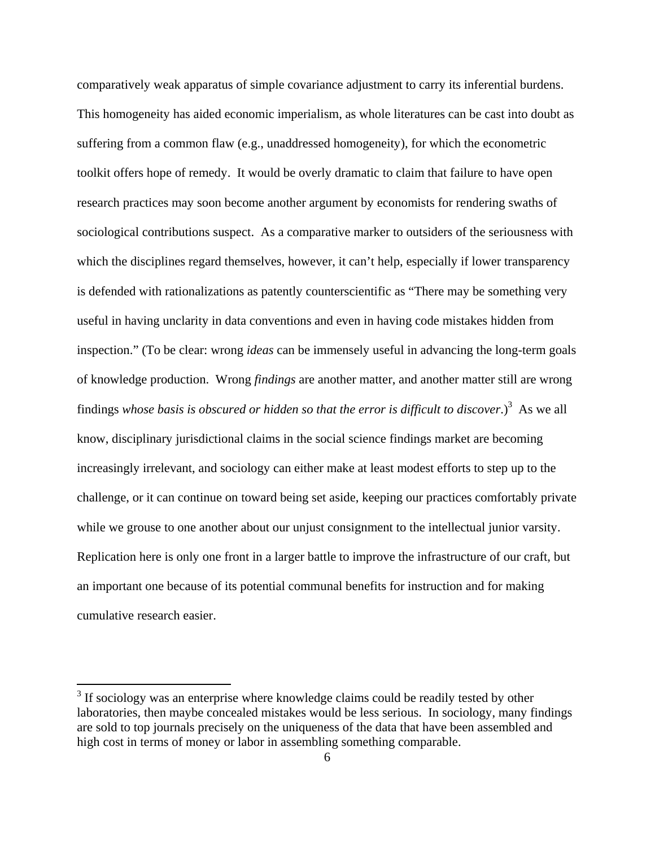comparatively weak apparatus of simple covariance adjustment to carry its inferential burdens. This homogeneity has aided economic imperialism, as whole literatures can be cast into doubt as suffering from a common flaw (e.g., unaddressed homogeneity), for which the econometric toolkit offers hope of remedy. It would be overly dramatic to claim that failure to have open research practices may soon become another argument by economists for rendering swaths of sociological contributions suspect. As a comparative marker to outsiders of the seriousness with which the disciplines regard themselves, however, it can't help, especially if lower transparency is defended with rationalizations as patently counterscientific as "There may be something very useful in having unclarity in data conventions and even in having code mistakes hidden from inspection." (To be clear: wrong *ideas* can be immensely useful in advancing the long-term goals of knowledge production. Wrong *findings* are another matter, and another matter still are wrong findings whose basis is obscured or hidden so that the error is difficult to discover.)<sup>3</sup> As we all know, disciplinary jurisdictional claims in the social science findings market are becoming increasingly irrelevant, and sociology can either make at least modest efforts to step up to the challenge, or it can continue on toward being set aside, keeping our practices comfortably private while we grouse to one another about our unjust consignment to the intellectual junior varsity. Replication here is only one front in a larger battle to improve the infrastructure of our craft, but an important one because of its potential communal benefits for instruction and for making cumulative research easier.

 $\overline{a}$ 

 $3$  If sociology was an enterprise where knowledge claims could be readily tested by other laboratories, then maybe concealed mistakes would be less serious. In sociology, many findings are sold to top journals precisely on the uniqueness of the data that have been assembled and high cost in terms of money or labor in assembling something comparable.